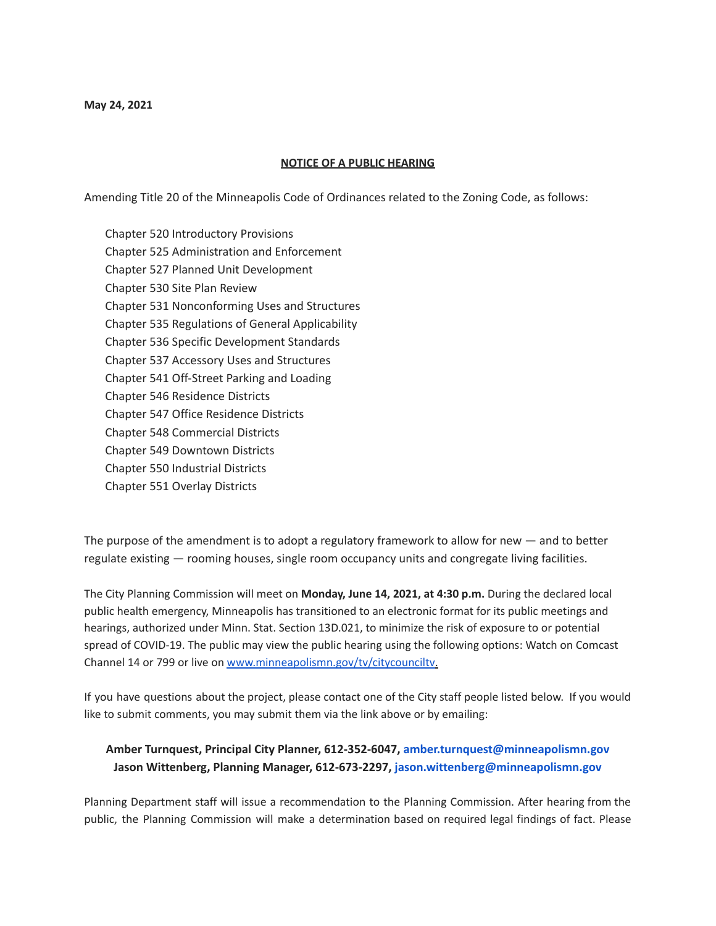## **NOTICE OF A PUBLIC HEARING**

Amending Title 20 of the Minneapolis Code of Ordinances related to the Zoning Code, as follows:

Chapter 520 Introductory Provisions Chapter 525 Administration and Enforcement Chapter 527 Planned Unit Development Chapter 530 Site Plan Review Chapter 531 Nonconforming Uses and Structures Chapter 535 Regulations of General Applicability Chapter 536 Specific Development Standards Chapter 537 Accessory Uses and Structures Chapter 541 Off-Street Parking and Loading Chapter 546 Residence Districts Chapter 547 Office Residence Districts Chapter 548 Commercial Districts Chapter 549 Downtown Districts Chapter 550 Industrial Districts Chapter 551 Overlay Districts

The purpose of the amendment is to adopt a regulatory framework to allow for new — and to better regulate existing — rooming houses, single room occupancy units and congregate living facilities.

The City Planning Commission will meet on **Monday, June 14, 2021, at 4:30 p.m.** During the declared local public health emergency, Minneapolis has transitioned to an electronic format for its public meetings and hearings, authorized under Minn. Stat. Section 13D.021, to minimize the risk of exposure to or potential spread of COVID-19. The public may view the public hearing using the following options: Watch on Comcast Channel 14 or 799 or live on [www.minneapolismn.gov/tv/citycounciltv](http://www.minneapolismn.gov/tv/citycounciltv).

If you have questions about the project, please contact one of the City staff people listed below. If you would like to submit comments, you may submit them via the link above or by emailing:

## **Amber Turnquest, Principal City Planner, 612-352-6047, amber.turnquest@minneapolismn.gov Jason Wittenberg, Planning Manager, 612-673-2297, jason.wittenberg@minneapolismn.gov**

Planning Department staff will issue a recommendation to the Planning Commission. After hearing from the public, the Planning Commission will make a determination based on required legal findings of fact. Please